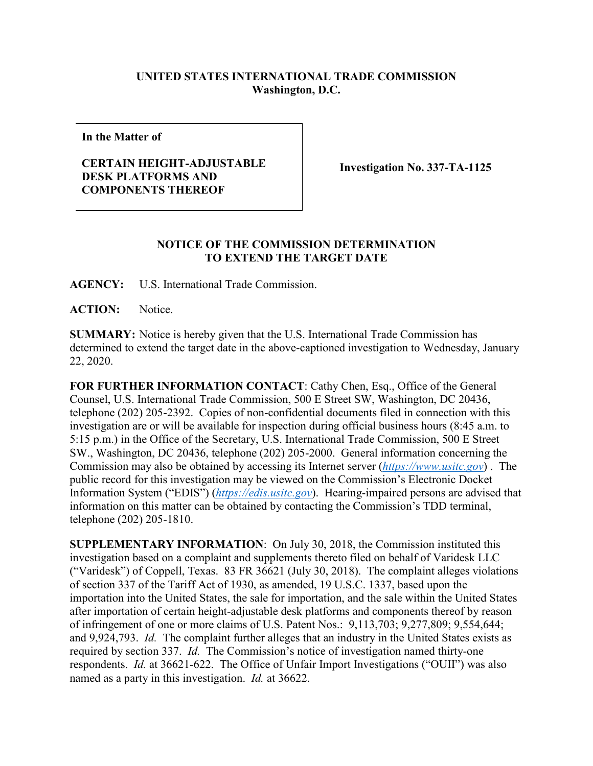## **UNITED STATES INTERNATIONAL TRADE COMMISSION Washington, D.C.**

**In the Matter of**

## **CERTAIN HEIGHT-ADJUSTABLE DESK PLATFORMS AND COMPONENTS THEREOF**

**Investigation No. 337-TA-1125**

## **NOTICE OF THE COMMISSION DETERMINATION TO EXTEND THE TARGET DATE**

**AGENCY:** U.S. International Trade Commission.

**ACTION:** Notice.

**SUMMARY:** Notice is hereby given that the U.S. International Trade Commission has determined to extend the target date in the above-captioned investigation to Wednesday, January 22, 2020.

**FOR FURTHER INFORMATION CONTACT**: Cathy Chen, Esq., Office of the General Counsel, U.S. International Trade Commission, 500 E Street SW, Washington, DC 20436, telephone (202) 205-2392. Copies of non-confidential documents filed in connection with this investigation are or will be available for inspection during official business hours (8:45 a.m. to 5:15 p.m.) in the Office of the Secretary, U.S. International Trade Commission, 500 E Street SW., Washington, DC 20436, telephone (202) 205-2000. General information concerning the Commission may also be obtained by accessing its Internet server (*[https://www.usitc.gov](https://www.usitc.gov/)*) . The public record for this investigation may be viewed on the Commission's Electronic Docket Information System ("EDIS") (*[https://edis.usitc.gov](https://edis.usitc.gov/)*). Hearing-impaired persons are advised that information on this matter can be obtained by contacting the Commission's TDD terminal, telephone (202) 205-1810.

**SUPPLEMENTARY INFORMATION**: On July 30, 2018, the Commission instituted this investigation based on a complaint and supplements thereto filed on behalf of Varidesk LLC ("Varidesk") of Coppell, Texas. 83 FR 36621 (July 30, 2018). The complaint alleges violations of section 337 of the Tariff Act of 1930, as amended, 19 U.S.C. 1337, based upon the importation into the United States, the sale for importation, and the sale within the United States after importation of certain height-adjustable desk platforms and components thereof by reason of infringement of one or more claims of U.S. Patent Nos.: 9,113,703; 9,277,809; 9,554,644; and 9,924,793. *Id.* The complaint further alleges that an industry in the United States exists as required by section 337. *Id.* The Commission's notice of investigation named thirty-one respondents. *Id.* at 36621-622.The Office of Unfair Import Investigations ("OUII") was also named as a party in this investigation. *Id.* at 36622.